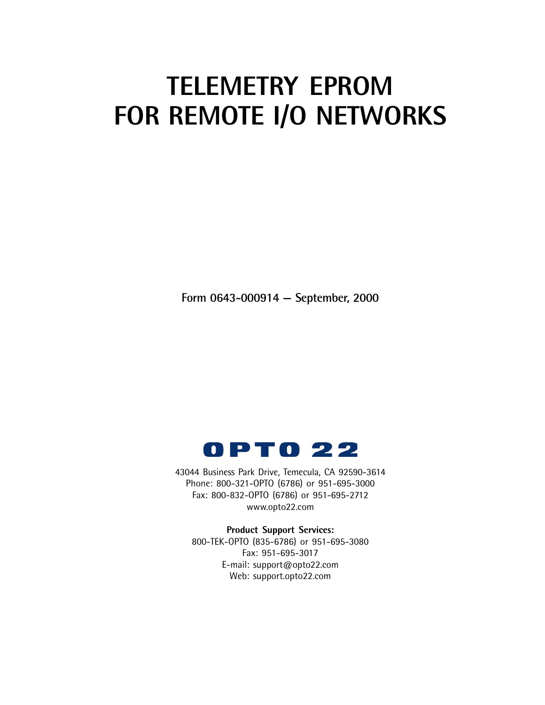## **TELEMETRY EPROM FOR REMOTE I/O NETWORKS**

**Form 0643-000914 — September, 2000**



43044 Business Park Drive, Temecula, CA 92590-3614 Phone: 800-321-OPTO (6786) or 951-695-3000 Fax: 800-832-OPTO (6786) or 951-695-2712 www.opto22.com

**Product Support Services:** 800-TEK-OPTO (835-6786) or 951-695-3080 Fax: 951-695-3017 E-mail: support@opto22.com Web: support.opto22.com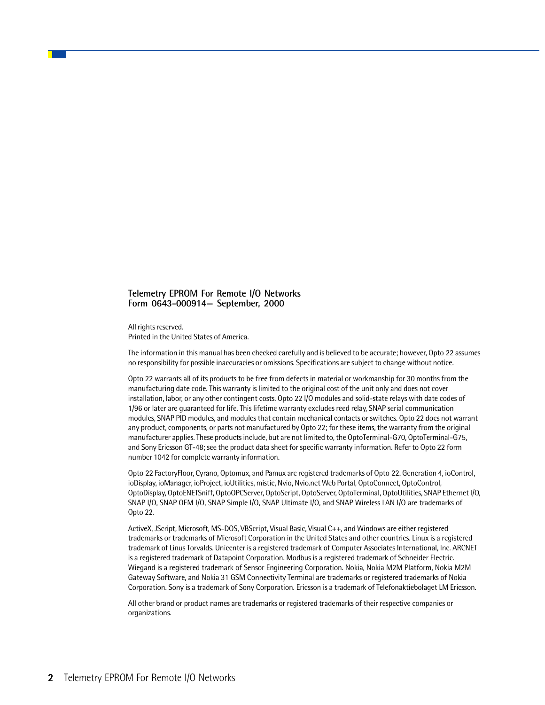#### **Telemetry EPROM For Remote I/O Networks Form 0643-000914— September, 2000**

All rights reserved. Printed in the United States of America.

The information in this manual has been checked carefully and is believed to be accurate; however, Opto 22 assumes no responsibility for possible inaccuracies or omissions. Specifications are subject to change without notice.

Opto 22 warrants all of its products to be free from defects in material or workmanship for 30 months from the manufacturing date code. This warranty is limited to the original cost of the unit only and does not cover installation, labor, or any other contingent costs. Opto 22 I/O modules and solid-state relays with date codes of 1/96 or later are guaranteed for life. This lifetime warranty excludes reed relay, SNAP serial communication modules, SNAP PID modules, and modules that contain mechanical contacts or switches. Opto 22 does not warrant any product, components, or parts not manufactured by Opto 22; for these items, the warranty from the original manufacturer applies. These products include, but are not limited to, the OptoTerminal-G70, OptoTerminal-G75, and Sony Ericsson GT-48; see the product data sheet for specific warranty information. Refer to Opto 22 form number 1042 for complete warranty information.

Opto 22 FactoryFloor, Cyrano, Optomux, and Pamux are registered trademarks of Opto 22. Generation 4, ioControl, ioDisplay, ioManager, ioProject, ioUtilities, mistic, Nvio, Nvio.net Web Portal, OptoConnect, OptoControl, OptoDisplay, OptoENETSniff, OptoOPCServer, OptoScript, OptoServer, OptoTerminal, OptoUtilities, SNAP Ethernet I/O, SNAP I/O, SNAP OEM I/O, SNAP Simple I/O, SNAP Ultimate I/O, and SNAP Wireless LAN I/O are trademarks of Opto 22.

ActiveX, JScript, Microsoft, MS-DOS, VBScript, Visual Basic, Visual C++, and Windows are either registered trademarks or trademarks of Microsoft Corporation in the United States and other countries. Linux is a registered trademark of Linus Torvalds. Unicenter is a registered trademark of Computer Associates International, Inc. ARCNET is a registered trademark of Datapoint Corporation. Modbus is a registered trademark of Schneider Electric. Wiegand is a registered trademark of Sensor Engineering Corporation. Nokia, Nokia M2M Platform, Nokia M2M Gateway Software, and Nokia 31 GSM Connectivity Terminal are trademarks or registered trademarks of Nokia Corporation. Sony is a trademark of Sony Corporation. Ericsson is a trademark of Telefonaktiebolaget LM Ericsson.

All other brand or product names are trademarks or registered trademarks of their respective companies or organizations.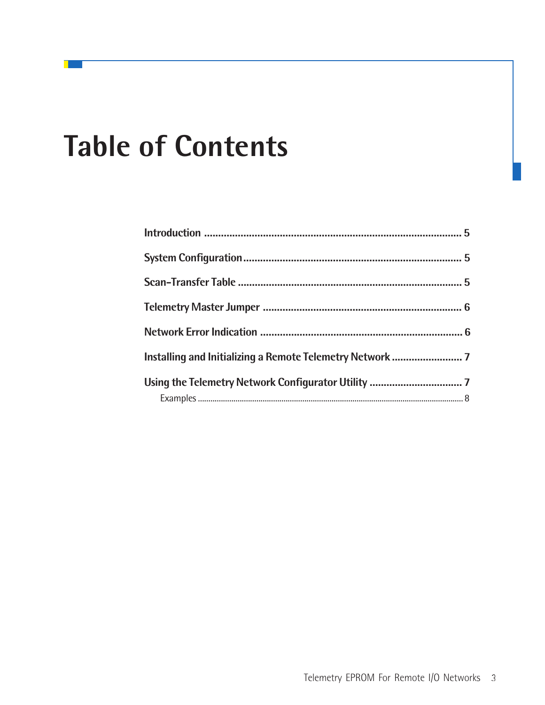# **Table of Contents**

П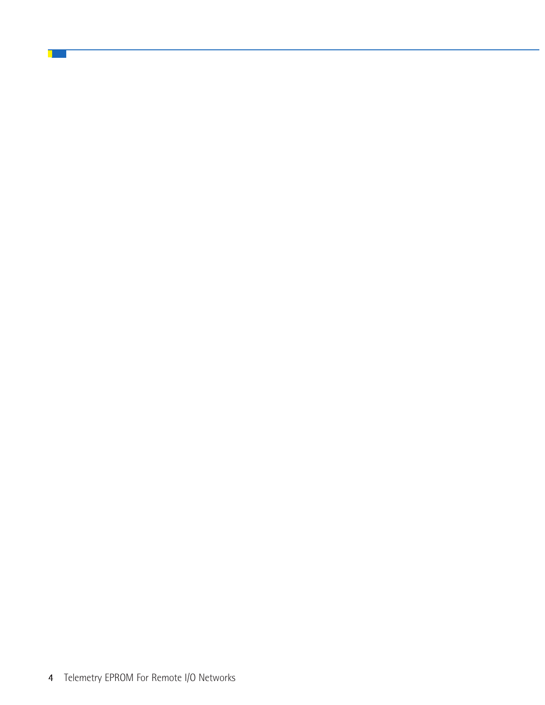4 Telemetry EPROM For Remote I/O Networks

 $\sim 10$ П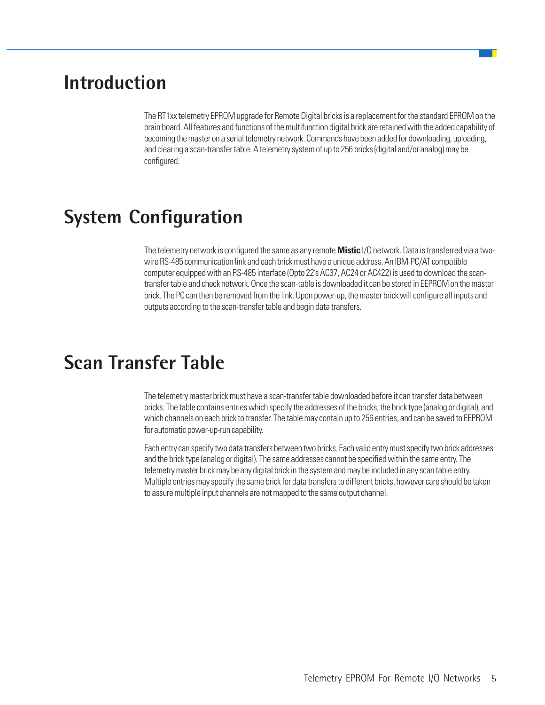### **Introduction**

The RT1xx telemetry EPROM upgrade for Remote Digital bricks is a replacement for the standard EPROM on the brain board. All features and functions of the multifunction digital brick are retained with the added capability of becoming the master on a serial telemetry network. Commands have been added for downloading, uploading, and clearing a scan-transfer table. A telemetry system of up to 256 bricks (digital and/or analog) may be configured.

### **System Configuration**

The telemetry network is configured the same as any remote **Mistic** I/O network. Data is transferred via a twowire RS-485 communication link and each brick must have a unique address. An IBM-PC/AT compatible computer equipped with an RS-485 interface (Opto 22's AC37, AC24 or AC422) is used to download the scantransfer table and check network. Once the scan-table is downloaded it can be stored in EEPROM on the master brick. The PC can then be removed from the link. Upon power-up, the master brick will configure all inputs and outputs according to the scan-transfer table and begin data transfers.

### **Scan Transfer Table**

The telemetry master brick must have a scan-transfer table downloaded before it can transfer data between bricks. The table contains entries which specify the addresses of the bricks, the brick type (analog or digital), and which channels on each brick to transfer. The table may contain up to 256 entries, and can be saved to EEPROM for automatic power-up-run capability.

Each entry can specify two data transfers between two bricks. Each valid entry must specify two brick addresses and the brick type (analog or digital). The same addresses cannot be specified within the same entry. The telemetry master brick may be any digital brick in the system and may be included in any scan table entry. Multiple entries may specify the same brick for data transfers to different bricks, however care should be taken to assure multiple input channels are not mapped to the same output channel.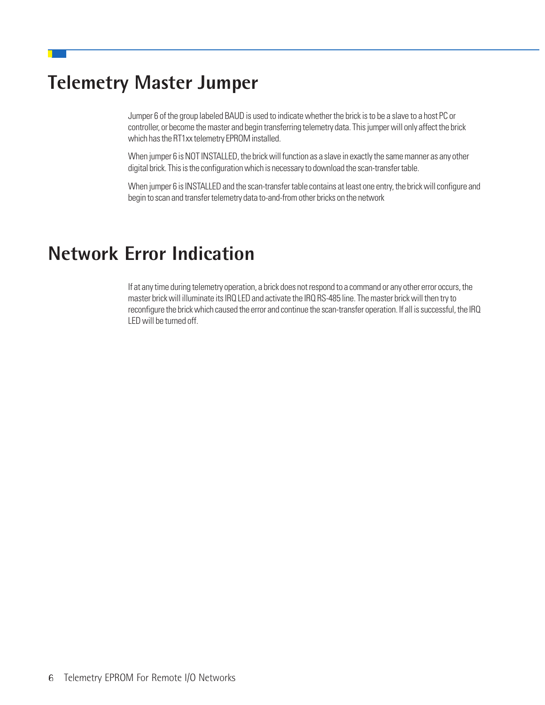### **Telemetry Master Jumper**

Jumper 6 of the group labeled BAUD is used to indicate whether the brick is to be a slave to a host PC or controller, or become the master and begin transferring telemetry data. This jumper will only affect the brick which has the RT1xx telemetry EPROM installed.

When jumper 6 is NOT INSTALLED, the brick will function as a slave in exactly the same manner as any other digital brick. This is the configuration which is necessary to download the scan-transfer table.

When jumper 6 is INSTALLED and the scan-transfer table contains at least one entry, the brick will configure and begin to scan and transfer telemetry data to-and-from other bricks on the network

### **Network Error Indication**

If at any time during telemetry operation, a brick does not respond to a command or any other error occurs, the master brick will illuminate its IRQ LED and activate the IRQ RS-485 line. The master brick will then try to reconfigure the brick which caused the error and continue the scan-transfer operation. If all is successful, the IRQ LED will be turned off.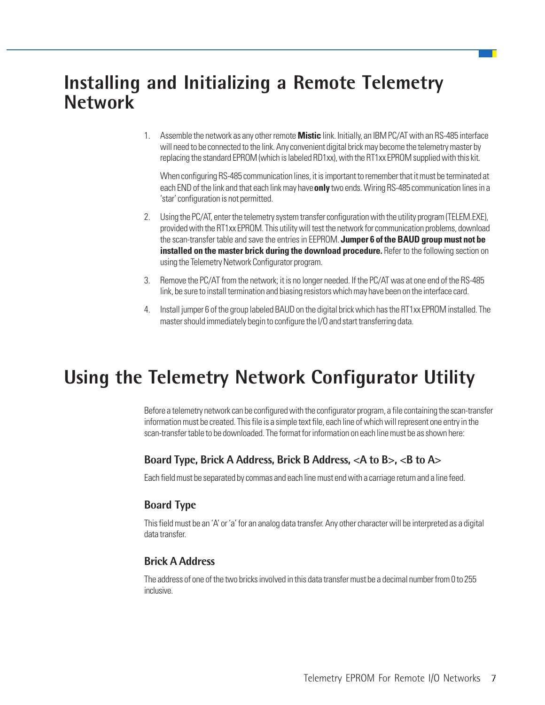### **Installing and Initializing a Remote Telemetry Network**

1. Assemble the network as any other remote **Mistic** link. Initially, an IBM PC/AT with an RS-485 interface will need to be connected to the link. Any convenient digital brick may become the telemetry master by replacing the standard EPROM (which is labeled RD1xx), with the RT1xx EPROM supplied with this kit.

When configuring RS-485 communication lines, it is important to remember that it must be terminated at each END of the link and that each link may have**only** two ends. Wiring RS-485 communication lines in a 'star' configuration is not permitted.

- 2. Using the PC/AT, enter the telemetry system transfer configuration with the utility program (TELEM.EXE), provided with the RT1xx EPROM. This utility will test the network for communication problems, download the scan-transfer table and save the entries in EEPROM. **Jumper 6 of the BAUD group must not be installed on the master brick during the download procedure.** Refer to the following section on using the Telemetry Network Configurator program.
- 3. Remove the PC/AT from the network; it is no longer needed. If the PC/AT was at one end of the RS-485 link, be sure to install termination and biasing resistors which may have been on the interface card.
- 4. Install jumper 6 of the group labeled BAUD on the digital brick which has the RT1xx EPROM installed. The master should immediately begin to configure the I/O and start transferring data.

### **Using the Telemetry Network Configurator Utility**

Before a telemetry network can be configured with the configurator program, a file containing the scan-transfer information must be created. This file is a simple text file, each line of which will represent one entry in the scan-transfer table to be downloaded. The format for information on each line must be as shown here:

#### **Board Type, Brick A Address, Brick B Address, <A to B>, <B to A>**

Each field must be separated by commas and each line must end with a carriage return and a line feed.

#### **Board Type**

This field must be an 'A' or 'a' for an analog data transfer. Any other character will be interpreted as a digital data transfer.

#### **Brick A Address**

The address of one of the two bricks involved in this data transfer must be a decimal number from 0 to 255 inclusive.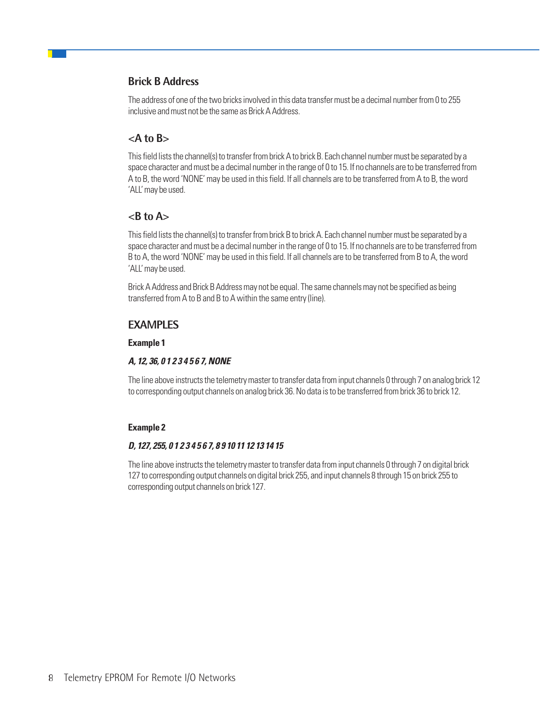#### **Brick B Address**

The address of one of the two bricks involved in this data transfer must be a decimal number from 0 to 255 inclusive and must not be the same as Brick A Address.

#### **<A to B>**

This field lists the channel(s) to transfer from brick A to brick B. Each channel number must be separated by a space character and must be a decimal number in the range of 0 to 15. If no channels are to be transferred from A to B, the word 'NONE' may be used in this field. If all channels are to be transferred from A to B, the word 'ALL' may be used.

#### **<B to A>**

This field lists the channel(s) to transfer from brick B to brick A. Each channel number must be separated by a space character and must be a decimal number in the range of 0 to 15. If no channels are to be transferred from B to A, the word 'NONE' may be used in this field. If all channels are to be transferred from B to A, the word 'ALL' may be used.

Brick A Address and Brick B Address may not be equal. The same channels may not be specified as being transferred from A to B and B to A within the same entry (line).

#### **EXAMPLES**

#### **Example 1**

#### **A, 12, 36, 0 1 2 3 4 5 6 7, NONE**

The line above instructs the telemetry master to transfer data from input channels 0 through 7 on analog brick 12 to corresponding output channels on analog brick 36. No data is to be transferred from brick 36 to brick 12.

#### **Example 2**

#### **D, 127, 255, 0 1 2 3 4 5 6 7, 8 9 10 11 12 13 14 15**

The line above instructs the telemetry master to transfer data from input channels 0 through 7 on digital brick 127 to corresponding output channels on digital brick 255, and input channels 8 through 15 on brick 255 to corresponding output channels on brick 127.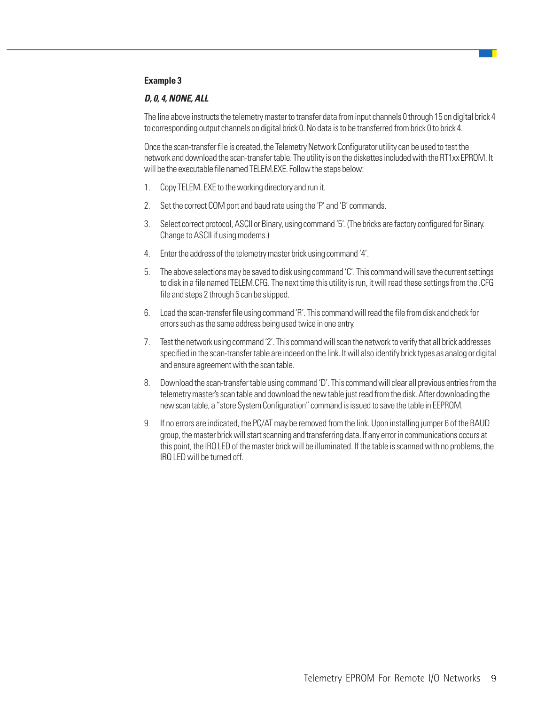#### **Example 3**

#### **D, 0, 4, NONE, ALL**

The line above instructs the telemetry master to transfer data from input channels 0 through 15 on digital brick 4 to corresponding output channels on digital brick 0. No data is to be transferred from brick 0 to brick 4.

Once the scan-transfer file is created, the Telemetry Network Configurator utility can be used to test the network and download the scan-transfer table. The utility is on the diskettes included with the RT1xx EPROM. It will be the executable file named TELEM.EXE. Follow the steps below:

- 1. Copy TELEM. EXE to the working directory and run it.
- 2. Set the correct COM port and baud rate using the 'P' and 'B' commands.
- 3. Select correct protocol, ASCII or Binary, using command '5'. (The bricks are factory configured for Binary. Change to ASCII if using modems.)
- 4. Enter the address of the telemetry master brick using command '4'.
- 5. The above selections may be saved to disk using command 'C'. This command will save the current settings to disk in a file named TELEM.CFG. The next time this utility is run, it will read these settings from the .CFG file and steps 2 through 5 can be skipped.
- 6. Load the scan-transfer file using command 'R'. This command will read the file from disk and check for errors such as the same address being used twice in one entry.
- 7. Test the network using command '2'. This command will scan the network to verify that all brick addresses specified in the scan-transfer table are indeed on the link. It will also identify brick types as analog or digital and ensure agreement with the scan table.
- 8. Download the scan-transfer table using command 'D'. This command will clear all previous entries from the telemetry master's scan table and download the new table just read from the disk. After downloading the new scan table, a "store System Configuration" command is issued to save the table in EEPROM.
- 9 If no errors are indicated, the PC/AT may be removed from the link. Upon installing jumper 6 of the BAUD group, the master brick will start scanning and transferring data. If any error in communications occurs at this point, the IRQ LED of the master brick will be illuminated. If the table is scanned with no problems, the IRQ LED will be turned off.